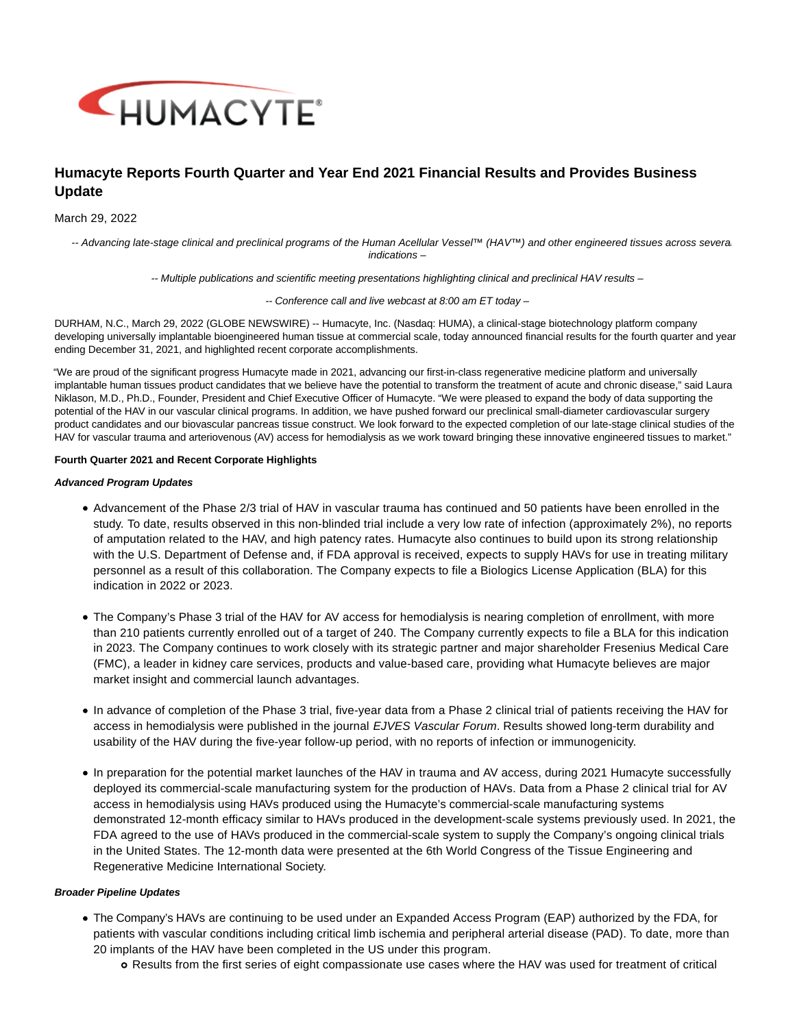

# **Humacyte Reports Fourth Quarter and Year End 2021 Financial Results and Provides Business Update**

March 29, 2022

-- Advancing late-stage clinical and preclinical programs of the Human Acellular Vessel™ (HAV™) and other engineered tissues across severa indications –

-- Multiple publications and scientific meeting presentations highlighting clinical and preclinical HAV results –

-- Conference call and live webcast at 8:00 am ET today –

DURHAM, N.C., March 29, 2022 (GLOBE NEWSWIRE) -- Humacyte, Inc. (Nasdaq: HUMA), a clinical-stage biotechnology platform company developing universally implantable bioengineered human tissue at commercial scale, today announced financial results for the fourth quarter and year ending December 31, 2021, and highlighted recent corporate accomplishments.

"We are proud of the significant progress Humacyte made in 2021, advancing our first-in-class regenerative medicine platform and universally implantable human tissues product candidates that we believe have the potential to transform the treatment of acute and chronic disease," said Laura Niklason, M.D., Ph.D., Founder, President and Chief Executive Officer of Humacyte. "We were pleased to expand the body of data supporting the potential of the HAV in our vascular clinical programs. In addition, we have pushed forward our preclinical small-diameter cardiovascular surgery product candidates and our biovascular pancreas tissue construct. We look forward to the expected completion of our late-stage clinical studies of the HAV for vascular trauma and arteriovenous (AV) access for hemodialysis as we work toward bringing these innovative engineered tissues to market."

## **Fourth Quarter 2021 and Recent Corporate Highlights**

## **Advanced Program Updates**

- Advancement of the Phase 2/3 trial of HAV in vascular trauma has continued and 50 patients have been enrolled in the study. To date, results observed in this non-blinded trial include a very low rate of infection (approximately 2%), no reports of amputation related to the HAV, and high patency rates. Humacyte also continues to build upon its strong relationship with the U.S. Department of Defense and, if FDA approval is received, expects to supply HAVs for use in treating military personnel as a result of this collaboration. The Company expects to file a Biologics License Application (BLA) for this indication in 2022 or 2023.
- The Company's Phase 3 trial of the HAV for AV access for hemodialysis is nearing completion of enrollment, with more than 210 patients currently enrolled out of a target of 240. The Company currently expects to file a BLA for this indication in 2023. The Company continues to work closely with its strategic partner and major shareholder Fresenius Medical Care (FMC), a leader in kidney care services, products and value-based care, providing what Humacyte believes are major market insight and commercial launch advantages.
- In advance of completion of the Phase 3 trial, five-year data from a Phase 2 clinical trial of patients receiving the HAV for access in hemodialysis were published in the journal EJVES Vascular Forum. Results showed long-term durability and usability of the HAV during the five-year follow-up period, with no reports of infection or immunogenicity.
- In preparation for the potential market launches of the HAV in trauma and AV access, during 2021 Humacyte successfully deployed its commercial-scale manufacturing system for the production of HAVs. Data from a Phase 2 clinical trial for AV access in hemodialysis using HAVs produced using the Humacyte's commercial-scale manufacturing systems demonstrated 12-month efficacy similar to HAVs produced in the development-scale systems previously used. In 2021, the FDA agreed to the use of HAVs produced in the commercial-scale system to supply the Company's ongoing clinical trials in the United States. The 12-month data were presented at the 6th World Congress of the Tissue Engineering and Regenerative Medicine International Society.

# **Broader Pipeline Updates**

- The Company's HAVs are continuing to be used under an Expanded Access Program (EAP) authorized by the FDA, for patients with vascular conditions including critical limb ischemia and peripheral arterial disease (PAD). To date, more than 20 implants of the HAV have been completed in the US under this program.
	- Results from the first series of eight compassionate use cases where the HAV was used for treatment of critical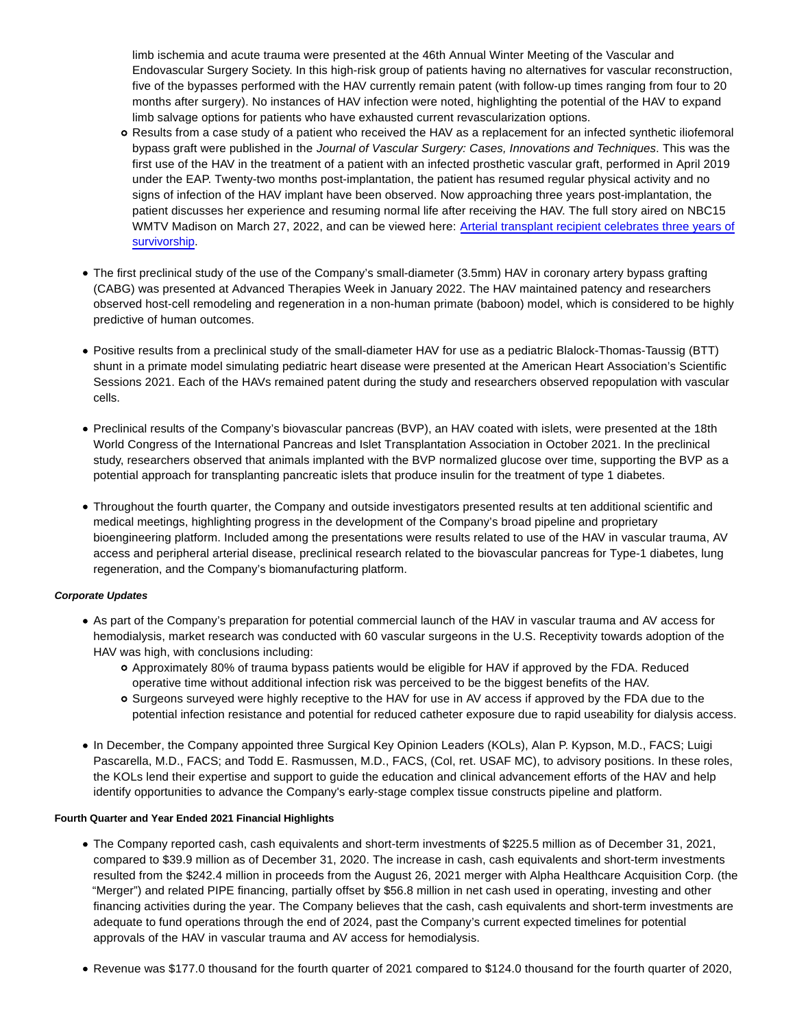limb ischemia and acute trauma were presented at the 46th Annual Winter Meeting of the Vascular and Endovascular Surgery Society. In this high-risk group of patients having no alternatives for vascular reconstruction, five of the bypasses performed with the HAV currently remain patent (with follow-up times ranging from four to 20 months after surgery). No instances of HAV infection were noted, highlighting the potential of the HAV to expand limb salvage options for patients who have exhausted current revascularization options.

- Results from a case study of a patient who received the HAV as a replacement for an infected synthetic iliofemoral bypass graft were published in the Journal of Vascular Surgery: Cases, Innovations and Techniques. This was the first use of the HAV in the treatment of a patient with an infected prosthetic vascular graft, performed in April 2019 under the EAP. Twenty-two months post-implantation, the patient has resumed regular physical activity and no signs of infection of the HAV implant have been observed. Now approaching three years post-implantation, the patient discusses her experience and resuming normal life after receiving the HAV. The full story aired on NBC15 WMTV Madison on March 27, 2022, and can be viewed here: [Arterial transplant recipient celebrates three years of](https://nam12.safelinks.protection.outlook.com/?url=https%3A%2F%2Fwww.nbc15.com%2F2022%2F03%2F27%2Farterial-transplant-recipient-celebrates-three-years-survivorship%2F&data=04%7C01%7CBlum%40humacyte.com%7C76ea924e593540a10b2f08da10d1f402%7C7002c3bb3e4e4ab78b1165cd3513ecbe%7C1%7C0%7C637840791228299463%7CUnknown%7CTWFpbGZsb3d8eyJWIjoiMC4wLjAwMDAiLCJQIjoiV2luMzIiLCJBTiI6Ik1haWwiLCJXVCI6Mn0%3D%7C3000&sdata=Y2aWlHoFjkdzEJ8X8WxIYuSFjzU6KyXVz%2B%2FaB1JEag8%3D&reserved=0) survivorship.
- The first preclinical study of the use of the Company's small-diameter (3.5mm) HAV in coronary artery bypass grafting (CABG) was presented at Advanced Therapies Week in January 2022. The HAV maintained patency and researchers observed host-cell remodeling and regeneration in a non-human primate (baboon) model, which is considered to be highly predictive of human outcomes.
- Positive results from a preclinical study of the small-diameter HAV for use as a pediatric Blalock-Thomas-Taussig (BTT) shunt in a primate model simulating pediatric heart disease were presented at the American Heart Association's Scientific Sessions 2021. Each of the HAVs remained patent during the study and researchers observed repopulation with vascular cells.
- Preclinical results of the Company's biovascular pancreas (BVP), an HAV coated with islets, were presented at the 18th World Congress of the International Pancreas and Islet Transplantation Association in October 2021. In the preclinical study, researchers observed that animals implanted with the BVP normalized glucose over time, supporting the BVP as a potential approach for transplanting pancreatic islets that produce insulin for the treatment of type 1 diabetes.
- Throughout the fourth quarter, the Company and outside investigators presented results at ten additional scientific and medical meetings, highlighting progress in the development of the Company's broad pipeline and proprietary bioengineering platform. Included among the presentations were results related to use of the HAV in vascular trauma, AV access and peripheral arterial disease, preclinical research related to the biovascular pancreas for Type-1 diabetes, lung regeneration, and the Company's biomanufacturing platform.

## **Corporate Updates**

- As part of the Company's preparation for potential commercial launch of the HAV in vascular trauma and AV access for hemodialysis, market research was conducted with 60 vascular surgeons in the U.S. Receptivity towards adoption of the HAV was high, with conclusions including:
	- Approximately 80% of trauma bypass patients would be eligible for HAV if approved by the FDA. Reduced operative time without additional infection risk was perceived to be the biggest benefits of the HAV.
	- Surgeons surveyed were highly receptive to the HAV for use in AV access if approved by the FDA due to the potential infection resistance and potential for reduced catheter exposure due to rapid useability for dialysis access.
- In December, the Company appointed three Surgical Key Opinion Leaders (KOLs), Alan P. Kypson, M.D., FACS; Luigi Pascarella, M.D., FACS; and Todd E. Rasmussen, M.D., FACS, (Col, ret. USAF MC), to advisory positions. In these roles, the KOLs lend their expertise and support to guide the education and clinical advancement efforts of the HAV and help identify opportunities to advance the Company's early-stage complex tissue constructs pipeline and platform.

## **Fourth Quarter and Year Ended 2021 Financial Highlights**

- The Company reported cash, cash equivalents and short-term investments of \$225.5 million as of December 31, 2021, compared to \$39.9 million as of December 31, 2020. The increase in cash, cash equivalents and short-term investments resulted from the \$242.4 million in proceeds from the August 26, 2021 merger with Alpha Healthcare Acquisition Corp. (the "Merger") and related PIPE financing, partially offset by \$56.8 million in net cash used in operating, investing and other financing activities during the year. The Company believes that the cash, cash equivalents and short-term investments are adequate to fund operations through the end of 2024, past the Company's current expected timelines for potential approvals of the HAV in vascular trauma and AV access for hemodialysis.
- Revenue was \$177.0 thousand for the fourth quarter of 2021 compared to \$124.0 thousand for the fourth quarter of 2020,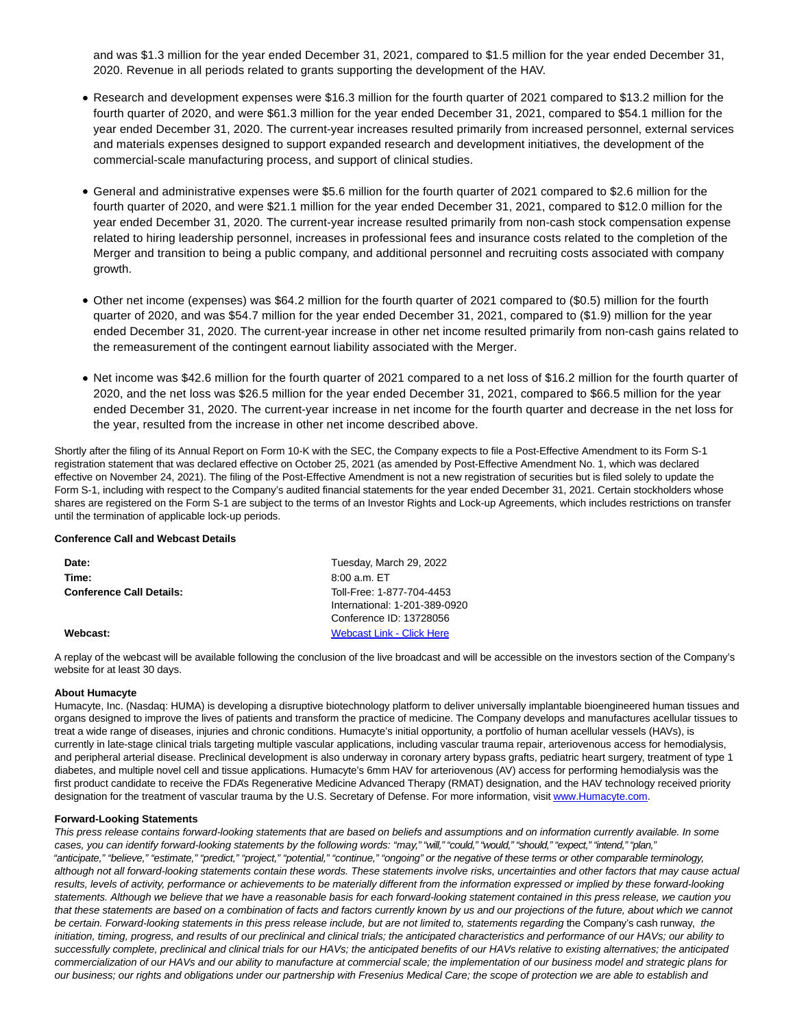and was \$1.3 million for the year ended December 31, 2021, compared to \$1.5 million for the year ended December 31, 2020. Revenue in all periods related to grants supporting the development of the HAV.

- Research and development expenses were \$16.3 million for the fourth quarter of 2021 compared to \$13.2 million for the fourth quarter of 2020, and were \$61.3 million for the year ended December 31, 2021, compared to \$54.1 million for the year ended December 31, 2020. The current-year increases resulted primarily from increased personnel, external services and materials expenses designed to support expanded research and development initiatives, the development of the commercial-scale manufacturing process, and support of clinical studies.
- General and administrative expenses were \$5.6 million for the fourth quarter of 2021 compared to \$2.6 million for the fourth quarter of 2020, and were \$21.1 million for the year ended December 31, 2021, compared to \$12.0 million for the year ended December 31, 2020. The current-year increase resulted primarily from non-cash stock compensation expense related to hiring leadership personnel, increases in professional fees and insurance costs related to the completion of the Merger and transition to being a public company, and additional personnel and recruiting costs associated with company growth.
- Other net income (expenses) was \$64.2 million for the fourth quarter of 2021 compared to (\$0.5) million for the fourth quarter of 2020, and was \$54.7 million for the year ended December 31, 2021, compared to (\$1.9) million for the year ended December 31, 2020. The current-year increase in other net income resulted primarily from non-cash gains related to the remeasurement of the contingent earnout liability associated with the Merger.
- Net income was \$42.6 million for the fourth quarter of 2021 compared to a net loss of \$16.2 million for the fourth quarter of 2020, and the net loss was \$26.5 million for the year ended December 31, 2021, compared to \$66.5 million for the year ended December 31, 2020. The current-year increase in net income for the fourth quarter and decrease in the net loss for the year, resulted from the increase in other net income described above.

Shortly after the filing of its Annual Report on Form 10-K with the SEC, the Company expects to file a Post-Effective Amendment to its Form S-1 registration statement that was declared effective on October 25, 2021 (as amended by Post-Effective Amendment No. 1, which was declared effective on November 24, 2021). The filing of the Post-Effective Amendment is not a new registration of securities but is filed solely to update the Form S-1, including with respect to the Company's audited financial statements for the year ended December 31, 2021. Certain stockholders whose shares are registered on the Form S-1 are subject to the terms of an Investor Rights and Lock-up Agreements, which includes restrictions on transfer until the termination of applicable lock-up periods.

## **Conference Call and Webcast Details**

| Tuesday, March 29, 2022                                                               |
|---------------------------------------------------------------------------------------|
| $8:00$ a.m. ET                                                                        |
| Toll-Free: 1-877-704-4453<br>International: 1-201-389-0920<br>Conference ID: 13728056 |
| <b>Webcast Link - Click Here</b>                                                      |
|                                                                                       |

A replay of the webcast will be available following the conclusion of the live broadcast and will be accessible on the investors section of the Company's website for at least 30 days.

## **About Humacyte**

Humacyte, Inc. (Nasdaq: HUMA) is developing a disruptive biotechnology platform to deliver universally implantable bioengineered human tissues and organs designed to improve the lives of patients and transform the practice of medicine. The Company develops and manufactures acellular tissues to treat a wide range of diseases, injuries and chronic conditions. Humacyte's initial opportunity, a portfolio of human acellular vessels (HAVs), is currently in late-stage clinical trials targeting multiple vascular applications, including vascular trauma repair, arteriovenous access for hemodialysis, and peripheral arterial disease. Preclinical development is also underway in coronary artery bypass grafts, pediatric heart surgery, treatment of type 1 diabetes, and multiple novel cell and tissue applications. Humacyte's 6mm HAV for arteriovenous (AV) access for performing hemodialysis was the first product candidate to receive the FDA's Regenerative Medicine Advanced Therapy (RMAT) designation, and the HAV technology received priority designation for the treatment of vascular trauma by the U.S. Secretary of Defense. For more information, visi[t www.Humacyte.com.](https://www.globenewswire.com/Tracker?data=-qjZJfhKZrj2z5cCvyQTXxmzMOUqj6YuGEm4TP5iGJKhnl5_-sreZqjz_MH5MkJCGptYBtUn937guVQd-c9t5w==)

#### **Forward-Looking Statements**

This press release contains forward-looking statements that are based on beliefs and assumptions and on information currently available. In some cases, you can identify forward-looking statements by the following words: "may," "will," "could," "would," "should," "expect," "intend," "plan," "anticipate," "believe," "estimate," "predict," "project," "potential," "continue," "ongoing" or the negative of these terms or other comparable terminology, although not all forward-looking statements contain these words. These statements involve risks, uncertainties and other factors that may cause actual results, levels of activity, performance or achievements to be materially different from the information expressed or implied by these forward-looking statements. Although we believe that we have a reasonable basis for each forward-looking statement contained in this press release, we caution you that these statements are based on a combination of facts and factors currently known by us and our projections of the future, about which we cannot be certain. Forward-looking statements in this press release include, but are not limited to, statements regarding the Company's cash runway, the initiation, timing, progress, and results of our preclinical and clinical trials; the anticipated characteristics and performance of our HAVs; our ability to successfully complete, preclinical and clinical trials for our HAVs; the anticipated benefits of our HAVs relative to existing alternatives; the anticipated commercialization of our HAVs and our ability to manufacture at commercial scale; the implementation of our business model and strategic plans for our business; our rights and obligations under our partnership with Fresenius Medical Care; the scope of protection we are able to establish and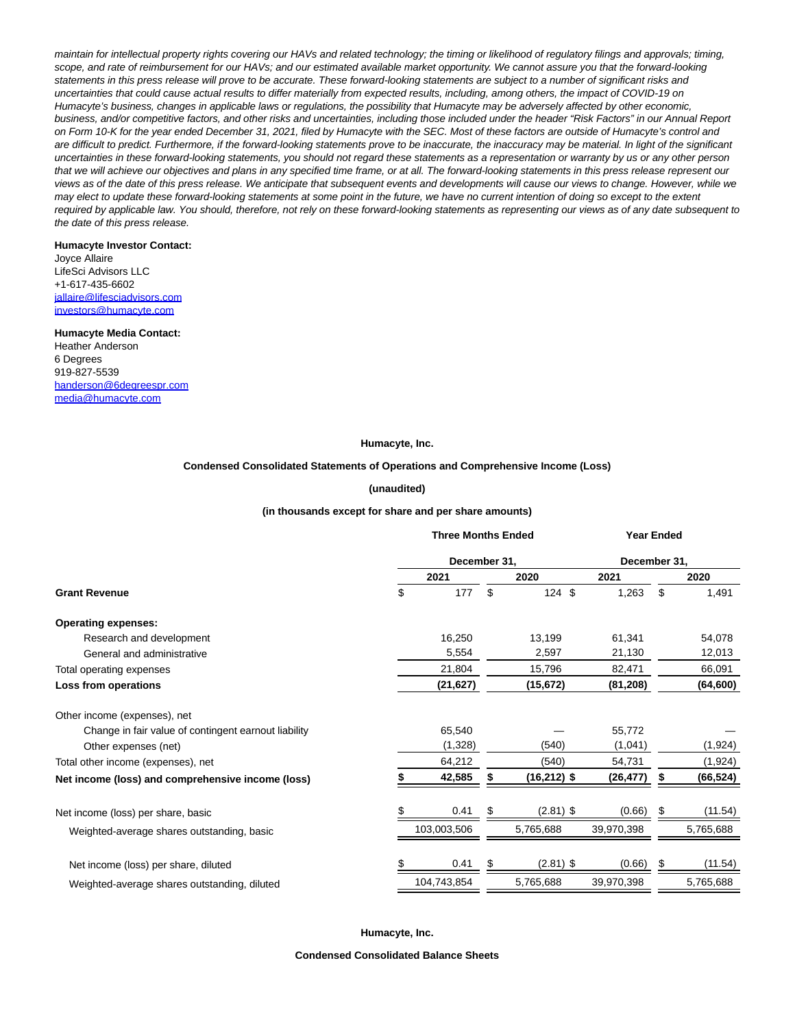maintain for intellectual property rights covering our HAVs and related technology; the timing or likelihood of regulatory filings and approvals; timing, scope, and rate of reimbursement for our HAVs; and our estimated available market opportunity. We cannot assure you that the forward-looking statements in this press release will prove to be accurate. These forward-looking statements are subject to a number of significant risks and uncertainties that could cause actual results to differ materially from expected results, including, among others, the impact of COVID-19 on Humacyte's business, changes in applicable laws or regulations, the possibility that Humacyte may be adversely affected by other economic, business, and/or competitive factors, and other risks and uncertainties, including those included under the header "Risk Factors" in our Annual Report on Form 10-K for the year ended December 31, 2021, filed by Humacyte with the SEC. Most of these factors are outside of Humacyte's control and are difficult to predict. Furthermore, if the forward-looking statements prove to be inaccurate, the inaccuracy may be material. In light of the significant uncertainties in these forward-looking statements, you should not regard these statements as a representation or warranty by us or any other person that we will achieve our objectives and plans in any specified time frame, or at all. The forward-looking statements in this press release represent our views as of the date of this press release. We anticipate that subsequent events and developments will cause our views to change. However, while we may elect to update these forward-looking statements at some point in the future, we have no current intention of doing so except to the extent required by applicable law. You should, therefore, not rely on these forward-looking statements as representing our views as of any date subsequent to the date of this press release.

#### **Humacyte Investor Contact:**

Joyce Allaire LifeSci Advisors LLC +1-617-435-6602 [jallaire@lifesciadvisors.com](https://www.globenewswire.com/Tracker?data=e67noMmN6T6mEPsfmR2mgALldCKkMojTDchQW5R6aFZ2mxI_RF2eYY1MjEcA4I40QUv9gFY54NnSs-HJXCdq2gB3mEgK8RvMs2vj1pkgmaMbvlq2FKkiTKPVY6kJSpuX) [investors@humacyte.com](https://www.globenewswire.com/Tracker?data=W-j2pwitsiA1ljyBtKAGSdaakTGmT3e6nK-lF1bnTv2takZJmujCJmAbzC08OdYwIQRlnRQweIAwSOEY_gjVYpyg4VYWyccAXbQviBqlZ6g=)

#### **Humacyte Media Contact:**

Heather Anderson 6 Degrees 919-827-5539 [handerson@6degreespr.com](https://www.globenewswire.com/Tracker?data=UODP1Qay_08CLf_3WcvrMLu2XvGqehJm7N4x0WeV-njWmVrl4EUqSky88OhELlRvOPo783gVXmaZjB0ZyA1Ra6o5NWRYVFYcFh22WsyDgn8=) [media@humacyte.com](https://www.globenewswire.com/Tracker?data=LlcQt_CO9vqq243w-cti8aqoJGOm7gOzs6-xaQsFnzVVspdoeOZ1SNKMXhQeHYCJHsbc9GqAP4aQkpsrHXqw4OGjKzGTwYU1x-K6duXxpQ4=)

#### **Humacyte, Inc.**

## **Condensed Consolidated Statements of Operations and Comprehensive Income (Loss)**

#### **(unaudited)**

#### **(in thousands except for share and per share amounts)**

|                                                      | <b>Three Months Ended</b><br>December 31, |             |    |               | <b>Year Ended</b> |    |           |
|------------------------------------------------------|-------------------------------------------|-------------|----|---------------|-------------------|----|-----------|
|                                                      |                                           |             |    |               | December 31,      |    |           |
|                                                      |                                           | 2021        |    | 2020          | 2021              |    | 2020      |
| <b>Grant Revenue</b>                                 | \$                                        | 177         | \$ | 124S          | 1,263             | \$ | 1,491     |
| <b>Operating expenses:</b>                           |                                           |             |    |               |                   |    |           |
| Research and development                             |                                           | 16,250      |    | 13,199        | 61,341            |    | 54,078    |
| General and administrative                           |                                           | 5,554       |    | 2,597         | 21,130            |    | 12,013    |
| Total operating expenses                             |                                           | 21,804      |    | 15,796        | 82,471            |    | 66,091    |
| Loss from operations                                 |                                           | (21, 627)   |    | (15, 672)     | (81, 208)         |    | (64, 600) |
| Other income (expenses), net                         |                                           |             |    |               |                   |    |           |
| Change in fair value of contingent earnout liability |                                           | 65,540      |    |               | 55,772            |    |           |
| Other expenses (net)                                 |                                           | (1,328)     |    | (540)         | (1,041)           |    | (1,924)   |
| Total other income (expenses), net                   |                                           | 64,212      |    | (540)         | 54,731            |    | (1, 924)  |
| Net income (loss) and comprehensive income (loss)    |                                           | 42,585      | S  | $(16,212)$ \$ | (26,477)          | S  | (66, 524) |
| Net income (loss) per share, basic                   |                                           | 0.41        | S  | $(2.81)$ \$   | (0.66)            | S  | (11.54)   |
| Weighted-average shares outstanding, basic           |                                           | 103,003,506 |    | 5,765,688     | 39,970,398        |    | 5,765,688 |
| Net income (loss) per share, diluted                 |                                           | 0.41        | \$ | $(2.81)$ \$   | (0.66)            | \$ | (11.54)   |
| Weighted-average shares outstanding, diluted         |                                           | 104,743,854 |    | 5,765,688     | 39,970,398        |    | 5,765,688 |
|                                                      |                                           |             |    |               |                   |    |           |

#### **Humacyte, Inc.**

#### **Condensed Consolidated Balance Sheets**